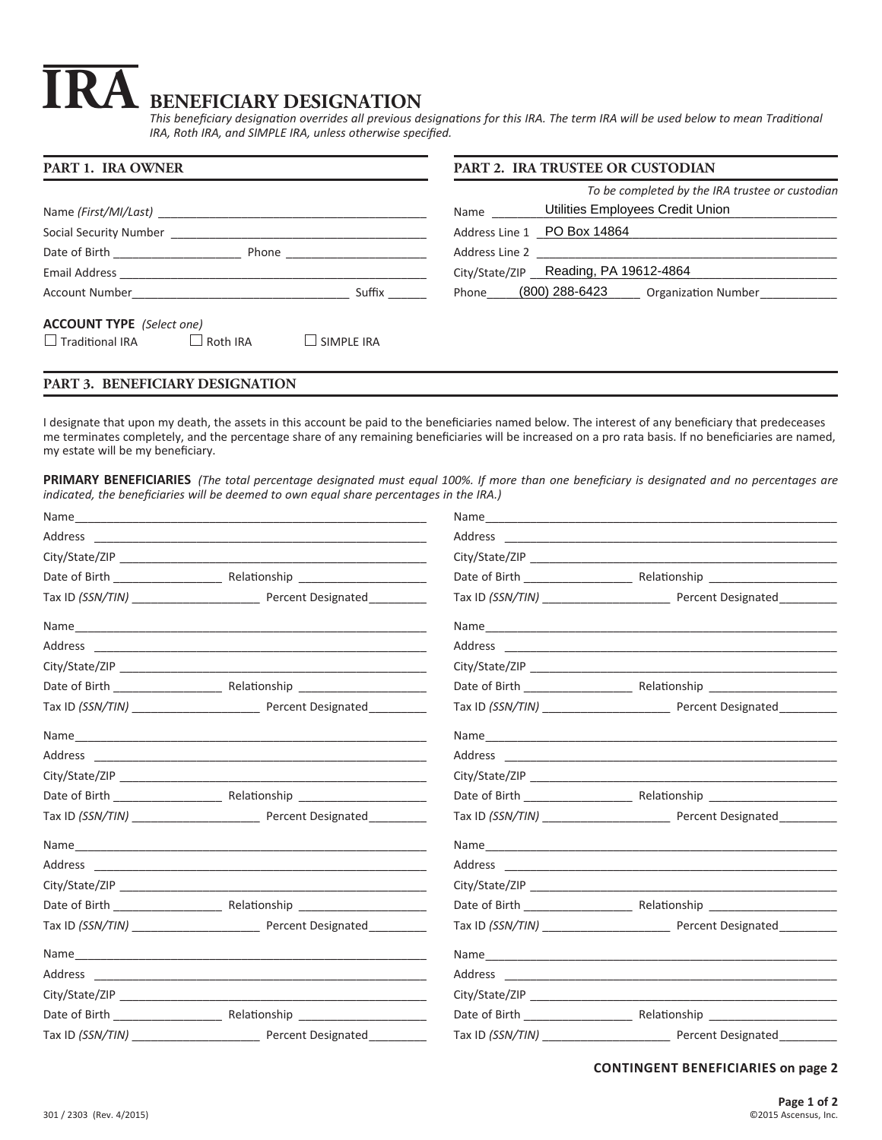# **BENEFICIARY DESIGNATION IRA**

*This beneficiary designation overrides all previous designations for this IRA. The term IRA will be used below to mean Traditional IRA, Roth IRA, and SIMPLE IRA, unless otherwise specified.*

| <b>PART 1. IRA OWNER</b>                                                                                                                                                                                                                 | <b>PART 2. IRA TRUSTEE OR CUSTODIAN</b>                                                     |  |
|------------------------------------------------------------------------------------------------------------------------------------------------------------------------------------------------------------------------------------------|---------------------------------------------------------------------------------------------|--|
|                                                                                                                                                                                                                                          | To be completed by the IRA trustee or custodian<br>Utilities Employees Credit Union<br>Name |  |
| Social Security Number Social Security Number                                                                                                                                                                                            | Address Line 1 PO Box 14864                                                                 |  |
| <b>Phone Example 20</b>                                                                                                                                                                                                                  |                                                                                             |  |
|                                                                                                                                                                                                                                          | City/State/ZIP Reading, PA 19612-4864                                                       |  |
| Suffix<br>Account Number and the state of the state of the state of the state of the state of the state of the state of the state of the state of the state of the state of the state of the state of the state of the state of the stat | Phone (800) 288-6423 Organization Number                                                    |  |
| <b>ACCOUNT TYPE</b> (Select one)<br>$\Box$ Traditional IRA<br>Roth IRA<br>$\Box$ SIMPLE IRA                                                                                                                                              |                                                                                             |  |

# **PART 3. BENEFICIARY DESIGNATION**

I designate that upon my death, the assets in this account be paid to the beneficiaries named below. The interest of any beneficiary that predeceases me terminates completely, and the percentage share of any remaining beneficiaries will be increased on a pro rata basis. If no beneficiaries are named, my estate will be my beneficiary.

**PRIMARY BENEFICIARIES** *(The total percentage designated must equal 100%. If more than one beneficiary is designated and no percentages are indicated, the beneficiaries will be deemed to own equal share percentages in the IRA.)*

# **CONTINGENT BENEFICIARIES on page 2**